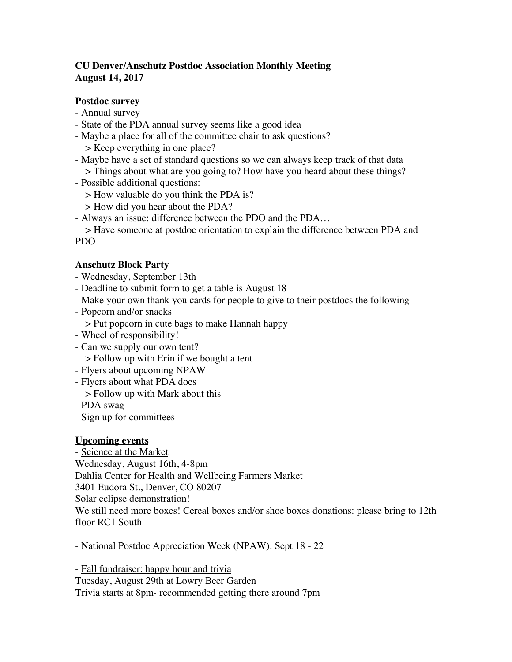# **CU Denver/Anschutz Postdoc Association Monthly Meeting August 14, 2017**

## **Postdoc survey**

- Annual survey
- State of the PDA annual survey seems like a good idea
- Maybe a place for all of the committee chair to ask questions? > Keep everything in one place?
- Maybe have a set of standard questions so we can always keep track of that data > Things about what are you going to? How have you heard about these things?
- Possible additional questions:
	- > How valuable do you think the PDA is?
	- > How did you hear about the PDA?
- Always an issue: difference between the PDO and the PDA…

> Have someone at postdoc orientation to explain the difference between PDA and PDO

## **Anschutz Block Party**

- Wednesday, September 13th
- Deadline to submit form to get a table is August 18
- Make your own thank you cards for people to give to their postdocs the following
- Popcorn and/or snacks
	- > Put popcorn in cute bags to make Hannah happy
- Wheel of responsibility!
- Can we supply our own tent?
	- > Follow up with Erin if we bought a tent
- Flyers about upcoming NPAW
- Flyers about what PDA does
	- > Follow up with Mark about this
- PDA swag
- Sign up for committees

### **Upcoming events**

- Science at the Market Wednesday, August 16th, 4-8pm Dahlia Center for Health and Wellbeing Farmers Market 3401 Eudora St., Denver, CO 80207 Solar eclipse demonstration! We still need more boxes! Cereal boxes and/or shoe boxes donations: please bring to 12th floor RC1 South

- National Postdoc Appreciation Week (NPAW): Sept 18 - 22

- Fall fundraiser: happy hour and trivia Tuesday, August 29th at Lowry Beer Garden Trivia starts at 8pm- recommended getting there around 7pm